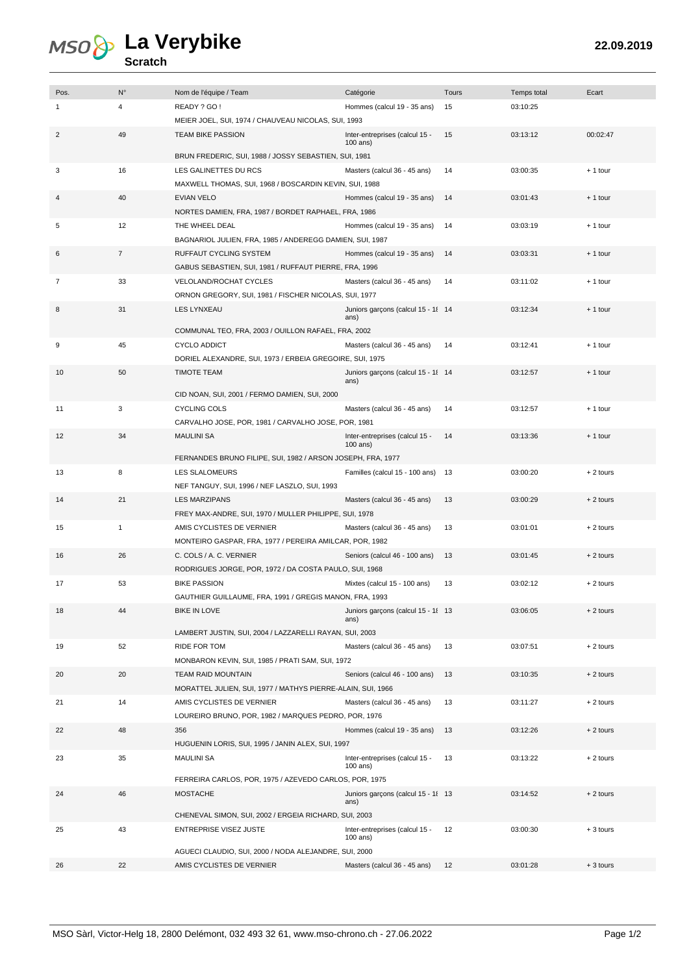## **La Verybike**

## **Scratch**

| Pos.           | $N^{\circ}$    | Nom de l'équipe / Team                                                            | Catégorie                                    | Tours | Temps total | Ecart      |
|----------------|----------------|-----------------------------------------------------------------------------------|----------------------------------------------|-------|-------------|------------|
| 1              | 4              | READY ? GO!                                                                       | Hommes (calcul 19 - 35 ans)                  | 15    | 03:10:25    |            |
|                |                | MEIER JOEL, SUI, 1974 / CHAUVEAU NICOLAS, SUI, 1993                               |                                              |       |             |            |
| $\overline{2}$ | 49             | <b>TEAM BIKE PASSION</b>                                                          | Inter-entreprises (calcul 15 -               | 15    | 03:13:12    | 00:02:47   |
|                |                |                                                                                   | $100$ ans)                                   |       |             |            |
|                |                | BRUN FREDERIC, SUI, 1988 / JOSSY SEBASTIEN, SUI, 1981                             |                                              |       |             |            |
| 3              | 16             | LES GALINETTES DU RCS                                                             | Masters (calcul 36 - 45 ans)                 | 14    | 03:00:35    | $+1$ tour  |
|                |                | MAXWELL THOMAS, SUI, 1968 / BOSCARDIN KEVIN, SUI, 1988                            |                                              |       |             |            |
| 4              | 40             | <b>EVIAN VELO</b>                                                                 | Hommes (calcul 19 - 35 ans)                  | 14    | 03:01:43    | $+1$ tour  |
|                |                | NORTES DAMIEN, FRA, 1987 / BORDET RAPHAEL, FRA, 1986                              |                                              |       |             |            |
| 5              | 12             | THE WHEEL DEAL                                                                    | Hommes (calcul 19 - 35 ans)                  | 14    | 03:03:19    | $+1$ tour  |
|                |                | BAGNARIOL JULIEN, FRA, 1985 / ANDEREGG DAMIEN, SUI, 1987                          |                                              |       |             |            |
| 6              | $\overline{7}$ | RUFFAUT CYCLING SYSTEM                                                            | Hommes (calcul 19 - 35 ans)                  | 14    | 03:03:31    | $+1$ tour  |
|                |                | GABUS SEBASTIEN, SUI, 1981 / RUFFAUT PIERRE, FRA, 1996                            |                                              |       |             |            |
| 7              | 33             | <b>VELOLAND/ROCHAT CYCLES</b>                                                     | Masters (calcul 36 - 45 ans)                 | 14    | 03:11:02    | $+1$ tour  |
|                |                | ORNON GREGORY, SUI, 1981 / FISCHER NICOLAS, SUI, 1977                             |                                              |       |             |            |
| 8              | 31             | <b>LES LYNXEAU</b>                                                                | Juniors garçons (calcul 15 - 18 14<br>ans)   |       | 03:12:34    | $+1$ tour  |
|                |                | COMMUNAL TEO, FRA, 2003 / OUILLON RAFAEL, FRA, 2002                               |                                              |       |             |            |
| 9              | 45             | <b>CYCLO ADDICT</b>                                                               | Masters (calcul 36 - 45 ans)                 | 14    | 03:12:41    | $+1$ tour  |
|                |                | DORIEL ALEXANDRE, SUI, 1973 / ERBEIA GREGOIRE, SUI, 1975                          |                                              |       |             |            |
| 10             | 50             | <b>TIMOTE TEAM</b>                                                                | Juniors garçons (calcul 15 - 18 14           |       | 03:12:57    | $+1$ tour  |
|                |                |                                                                                   | ans)                                         |       |             |            |
|                |                | CID NOAN, SUI, 2001 / FERMO DAMIEN, SUI, 2000                                     |                                              |       |             |            |
| 11             | 3              | <b>CYCLING COLS</b>                                                               | Masters (calcul 36 - 45 ans)                 | 14    | 03:12:57    | $+1$ tour  |
|                |                | CARVALHO JOSE, POR, 1981 / CARVALHO JOSE, POR, 1981                               |                                              |       |             |            |
| 12             | 34             | <b>MAULINI SA</b>                                                                 | Inter-entreprises (calcul 15 -<br>$100$ ans) | 14    | 03:13:36    | $+1$ tour  |
|                |                | FERNANDES BRUNO FILIPE, SUI, 1982 / ARSON JOSEPH, FRA, 1977                       |                                              |       |             |            |
| 13             | 8              | LES SLALOMEURS                                                                    | Familles (calcul 15 - 100 ans)               | 13    | 03:00:20    | $+2$ tours |
|                |                | NEF TANGUY, SUI, 1996 / NEF LASZLO, SUI, 1993                                     |                                              |       |             |            |
| 14             | 21             | <b>LES MARZIPANS</b>                                                              | Masters (calcul 36 - 45 ans)                 | 13    | 03:00:29    | $+2$ tours |
|                |                | FREY MAX-ANDRE, SUI, 1970 / MULLER PHILIPPE, SUI, 1978                            |                                              |       |             |            |
| 15             | $\mathbf{1}$   | AMIS CYCLISTES DE VERNIER                                                         | Masters (calcul 36 - 45 ans)                 | 13    | 03:01:01    | $+2$ tours |
|                |                | MONTEIRO GASPAR, FRA, 1977 / PEREIRA AMILCAR, POR, 1982                           |                                              |       |             |            |
| 16             | 26             | C. COLS / A. C. VERNIER                                                           | Seniors (calcul 46 - 100 ans)                | 13    | 03:01:45    | $+2$ tours |
|                |                | RODRIGUES JORGE, POR, 1972 / DA COSTA PAULO, SUI, 1968                            |                                              |       |             |            |
| 17             | 53             | <b>BIKE PASSION</b>                                                               | Mixtes (calcul 15 - 100 ans)                 | 13    | 03:02:12    | $+2$ tours |
|                |                | GAUTHIER GUILLAUME, FRA, 1991 / GREGIS MANON, FRA, 1993                           |                                              |       |             |            |
| 18             | 44             | <b>BIKE IN LOVE</b>                                                               | Juniors garcons (calcul 15 - 18 13           |       | 03:06:05    | $+2$ tours |
|                |                |                                                                                   | ans)                                         |       |             |            |
|                |                | LAMBERT JUSTIN, SUI, 2004 / LAZZARELLI RAYAN, SUI, 2003                           |                                              |       |             |            |
| 19             | 52             | RIDE FOR TOM                                                                      | Masters (calcul 36 - 45 ans)                 | 13    | 03:07:51    | $+2$ tours |
|                |                | MONBARON KEVIN, SUI, 1985 / PRATI SAM, SUI, 1972                                  |                                              |       |             |            |
| 20             | 20             | TEAM RAID MOUNTAIN                                                                | Seniors (calcul 46 - 100 ans)                | 13    | 03:10:35    | $+2$ tours |
|                |                | MORATTEL JULIEN, SUI, 1977 / MATHYS PIERRE-ALAIN, SUI, 1966                       |                                              |       |             |            |
| 21             | 14             | AMIS CYCLISTES DE VERNIER<br>LOUREIRO BRUNO, POR, 1982 / MARQUES PEDRO, POR, 1976 | Masters (calcul 36 - 45 ans)                 | 13    | 03:11:27    | $+2$ tours |
| 22             | 48             | 356                                                                               | Hommes (calcul 19 - 35 ans)                  | 13    | 03:12:26    | $+2$ tours |
|                |                | HUGUENIN LORIS, SUI, 1995 / JANIN ALEX, SUI, 1997                                 |                                              |       |             |            |
| 23             | 35             | <b>MAULINI SA</b>                                                                 | Inter-entreprises (calcul 15 -               | 13    | 03:13:22    | $+2$ tours |
|                |                |                                                                                   | 100 ans)                                     |       |             |            |
|                |                | FERREIRA CARLOS, POR, 1975 / AZEVEDO CARLOS, POR, 1975                            |                                              |       |             |            |
| 24             | 46             | <b>MOSTACHE</b>                                                                   | Juniors garçons (calcul 15 - 18 13           |       | 03:14:52    | $+2$ tours |
|                |                |                                                                                   | ans)                                         |       |             |            |
|                |                | CHENEVAL SIMON, SUI, 2002 / ERGEIA RICHARD, SUI, 2003                             |                                              |       |             |            |
| 25             | 43             | <b>ENTREPRISE VISEZ JUSTE</b>                                                     | Inter-entreprises (calcul 15 -<br>100 ans)   | 12    | 03:00:30    | $+3$ tours |
|                |                | AGUECI CLAUDIO, SUI, 2000 / NODA ALEJANDRE, SUI, 2000                             |                                              |       |             |            |
| 26             | 22             | AMIS CYCLISTES DE VERNIER                                                         | Masters (calcul 36 - 45 ans)                 | 12    | 03:01:28    | $+3$ tours |
|                |                |                                                                                   |                                              |       |             |            |